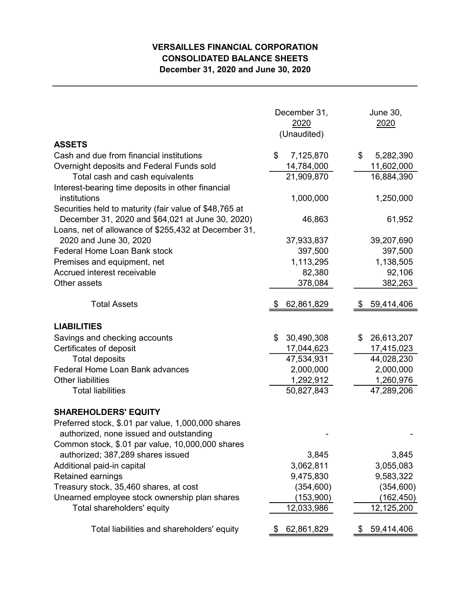## VERSAILLES FINANCIAL CORPORATION CONSOLIDATED BALANCE SHEETS December 31, 2020 and June 30, 2020

|                                                                                      | December 31,<br>2020<br>(Unaudited) | June 30,<br>2020 |  |  |  |
|--------------------------------------------------------------------------------------|-------------------------------------|------------------|--|--|--|
| <b>ASSETS</b>                                                                        |                                     |                  |  |  |  |
| Cash and due from financial institutions                                             | \$<br>7,125,870                     | \$<br>5,282,390  |  |  |  |
| Overnight deposits and Federal Funds sold                                            | 14,784,000                          | 11,602,000       |  |  |  |
| Total cash and cash equivalents<br>Interest-bearing time deposits in other financial | 21,909,870                          | 16,884,390       |  |  |  |
| institutions                                                                         | 1,000,000                           | 1,250,000        |  |  |  |
| Securities held to maturity (fair value of \$48,765 at                               |                                     |                  |  |  |  |
| December 31, 2020 and \$64,021 at June 30, 2020)                                     | 46,863                              | 61,952           |  |  |  |
| Loans, net of allowance of \$255,432 at December 31,                                 |                                     |                  |  |  |  |
| 2020 and June 30, 2020                                                               | 37,933,837                          | 39,207,690       |  |  |  |
| <b>Federal Home Loan Bank stock</b>                                                  | 397,500                             | 397,500          |  |  |  |
| Premises and equipment, net                                                          | 1,113,295                           | 1,138,505        |  |  |  |
| Accrued interest receivable                                                          | 82,380                              | 92,106           |  |  |  |
| Other assets                                                                         | 378,084                             | 382,263          |  |  |  |
|                                                                                      |                                     |                  |  |  |  |
| <b>Total Assets</b>                                                                  | 62,861,829                          | 59,414,406<br>S  |  |  |  |
| <b>LIABILITIES</b>                                                                   |                                     |                  |  |  |  |
| Savings and checking accounts                                                        | \$<br>30,490,308                    | \$<br>26,613,207 |  |  |  |
| Certificates of deposit                                                              | 17,044,623                          | 17,415,023       |  |  |  |
| <b>Total deposits</b>                                                                | 47,534,931                          | 44,028,230       |  |  |  |
| Federal Home Loan Bank advances                                                      | 2,000,000<br>2,000,000              |                  |  |  |  |
| <b>Other liabilities</b>                                                             | 1,292,912                           | 1,260,976        |  |  |  |
| <b>Total liabilities</b>                                                             | 50,827,843                          | 47,289,206       |  |  |  |
|                                                                                      |                                     |                  |  |  |  |
| <b>SHAREHOLDERS' EQUITY</b>                                                          |                                     |                  |  |  |  |
| Preferred stock, \$.01 par value, 1,000,000 shares                                   |                                     |                  |  |  |  |
| authorized, none issued and outstanding                                              |                                     |                  |  |  |  |
| Common stock, \$.01 par value, 10,000,000 shares                                     |                                     |                  |  |  |  |
| authorized; 387,289 shares issued                                                    | 3,845                               | 3,845            |  |  |  |
| Additional paid-in capital                                                           | 3,062,811                           | 3,055,083        |  |  |  |
| Retained earnings                                                                    | 9,475,830                           | 9,583,322        |  |  |  |
| Treasury stock, 35,460 shares, at cost                                               | (354, 600)                          | (354, 600)       |  |  |  |
| Unearned employee stock ownership plan shares                                        | (153,900)                           | (162,450)        |  |  |  |
| Total shareholders' equity                                                           | 12,033,986                          | 12,125,200       |  |  |  |
| Total liabilities and shareholders' equity                                           | 62,861,829                          | 59,414,406<br>P. |  |  |  |